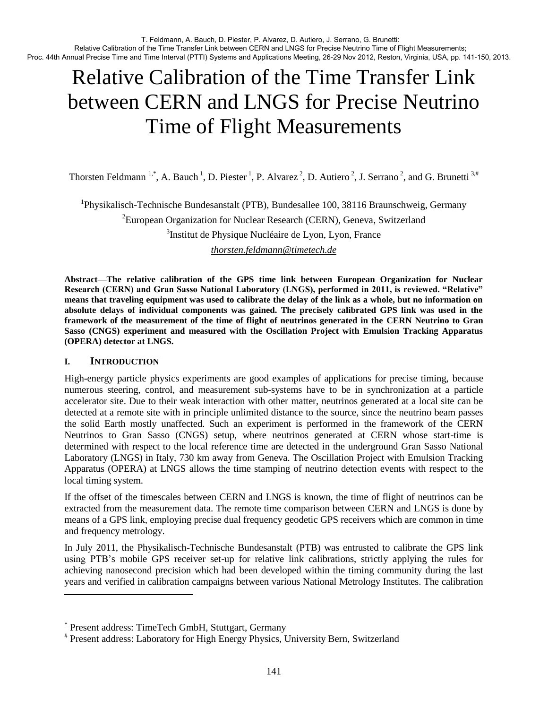# Relative Calibration of the Time Transfer Link between CERN and LNGS for Precise Neutrino Time of Flight Measurements

Thorsten Feldmann <sup>1,\*</sup>, A. Bauch<sup>1</sup>, D. Piester<sup>1</sup>, P. Alvarez<sup>2</sup>, D. Autiero<sup>2</sup>, J. Serrano<sup>2</sup>, and G. Brunetti <sup>3,#</sup>

<sup>1</sup>Physikalisch-Technische Bundesanstalt (PTB), Bundesallee 100, 38116 Braunschweig, Germany  ${}^{2}$ European Organization for Nuclear Research (CERN), Geneva, Switzerland

<sup>3</sup>Institut de Physique Nucléaire de Lyon, Lyon, France

*[thorsten.feldmann@timetech.de](mailto:thorsten.feldmann@timetech.de)*

**Abstract—The relative calibration of the GPS time link between European Organization for Nuclear Research (CERN) and Gran Sasso National Laboratory (LNGS), performed in 2011, is reviewed. "Relative" means that traveling equipment was used to calibrate the delay of the link as a whole, but no information on absolute delays of individual components was gained. The precisely calibrated GPS link was used in the framework of the measurement of the time of flight of neutrinos generated in the CERN Neutrino to Gran Sasso (CNGS) experiment and measured with the Oscillation Project with Emulsion Tracking Apparatus (OPERA) detector at LNGS.** 

# **I. INTRODUCTION**

l

High-energy particle physics experiments are good examples of applications for precise timing, because numerous steering, control, and measurement sub-systems have to be in synchronization at a particle accelerator site. Due to their weak interaction with other matter, neutrinos generated at a local site can be detected at a remote site with in principle unlimited distance to the source, since the neutrino beam passes the solid Earth mostly unaffected. Such an experiment is performed in the framework of the CERN Neutrinos to Gran Sasso (CNGS) setup, where neutrinos generated at CERN whose start-time is determined with respect to the local reference time are detected in the underground Gran Sasso National Laboratory (LNGS) in Italy, 730 km away from Geneva. The Oscillation Project with Emulsion Tracking Apparatus (OPERA) at LNGS allows the time stamping of neutrino detection events with respect to the local timing system.

If the offset of the timescales between CERN and LNGS is known, the time of flight of neutrinos can be extracted from the measurement data. The remote time comparison between CERN and LNGS is done by means of a GPS link, employing precise dual frequency geodetic GPS receivers which are common in time and frequency metrology.

In July 2011, the Physikalisch-Technische Bundesanstalt (PTB) was entrusted to calibrate the GPS link using PTB's mobile GPS receiver set-up for relative link calibrations, strictly applying the rules for achieving nanosecond precision which had been developed within the timing community during the last years and verified in calibration campaigns between various National Metrology Institutes. The calibration

<sup>\*</sup> Present address: TimeTech GmbH, Stuttgart, Germany

<sup>#</sup> Present address: Laboratory for High Energy Physics, University Bern, Switzerland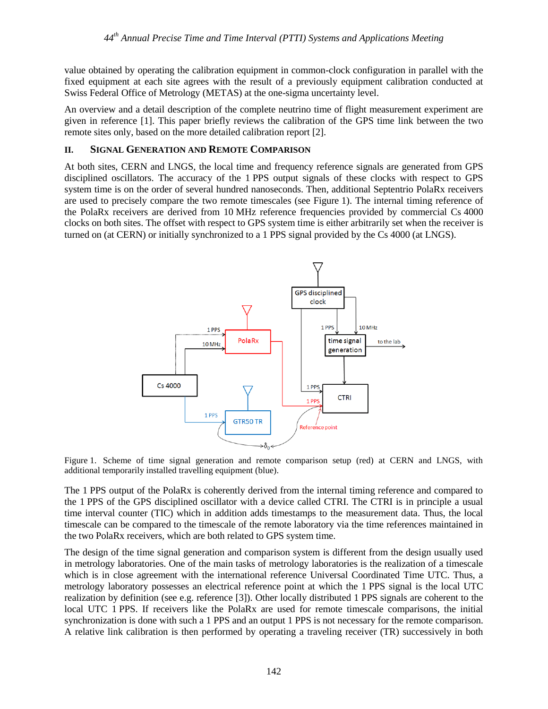value obtained by operating the calibration equipment in common-clock configuration in parallel with the fixed equipment at each site agrees with the result of a previously equipment calibration conducted at Swiss Federal Office of Metrology (METAS) at the one-sigma uncertainty level.

An overview and a detail description of the complete neutrino time of flight measurement experiment are given in reference [\[1\].](#page-8-0) This paper briefly reviews the calibration of the GPS time link between the two remote sites only, based on the more detailed calibration report [\[2\].](#page-8-1)

# **II. SIGNAL GENERATION AND REMOTE COMPARISON**

At both sites, CERN and LNGS, the local time and frequency reference signals are generated from GPS disciplined oscillators. The accuracy of the 1 PPS output signals of these clocks with respect to GPS system time is on the order of several hundred nanoseconds. Then, additional Septentrio PolaRx receivers are used to precisely compare the two remote timescales (see Figure 1). The internal timing reference of the PolaRx receivers are derived from 10 MHz reference frequencies provided by commercial Cs 4000 clocks on both sites. The offset with respect to GPS system time is either arbitrarily set when the receiver is turned on (at CERN) or initially synchronized to a 1 PPS signal provided by the Cs 4000 (at LNGS).



Figure 1. Scheme of time signal generation and remote comparison setup (red) at CERN and LNGS, with additional temporarily installed travelling equipment (blue).

The 1 PPS output of the PolaRx is coherently derived from the internal timing reference and compared to the 1 PPS of the GPS disciplined oscillator with a device called CTRI. The CTRI is in principle a usual time interval counter (TIC) which in addition adds timestamps to the measurement data. Thus, the local timescale can be compared to the timescale of the remote laboratory via the time references maintained in the two PolaRx receivers, which are both related to GPS system time.

The design of the time signal generation and comparison system is different from the design usually used in metrology laboratories. One of the main tasks of metrology laboratories is the realization of a timescale which is in close agreement with the international reference Universal Coordinated Time UTC. Thus, a metrology laboratory possesses an electrical reference point at which the 1 PPS signal is the local UTC realization by definition (see e.g. reference [\[3\]\)](#page-8-2). Other locally distributed 1 PPS signals are coherent to the local UTC 1 PPS. If receivers like the PolaRx are used for remote timescale comparisons, the initial synchronization is done with such a 1 PPS and an output 1 PPS is not necessary for the remote comparison. A relative link calibration is then performed by operating a traveling receiver (TR) successively in both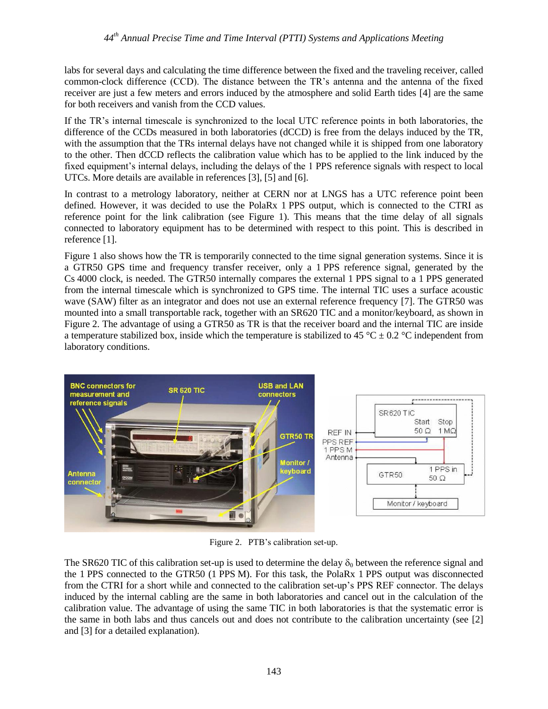labs for several days and calculating the time difference between the fixed and the traveling receiver, called common-clock difference (CCD). The distance between the TR's antenna and the antenna of the fixed receiver are just a few meters and errors induced by the atmosphere and solid Earth tides [\[4\]](#page-9-0) are the same for both receivers and vanish from the CCD values.

If the TR's internal timescale is synchronized to the local UTC reference points in both laboratories, the difference of the CCDs measured in both laboratories (dCCD) is free from the delays induced by the TR, with the assumption that the TRs internal delays have not changed while it is shipped from one laboratory to the other. Then dCCD reflects the calibration value which has to be applied to the link induced by the fixed equipment's internal delays, including the delays of the 1 PPS reference signals with respect to local UTCs. More details are available in references [\[3\],](#page-8-2) [\[5\]](#page-9-1) and [\[6\].](#page-9-2)

In contrast to a metrology laboratory, neither at CERN nor at LNGS has a UTC reference point been defined. However, it was decided to use the PolaRx 1 PPS output, which is connected to the CTRI as reference point for the link calibration (see Figure 1). This means that the time delay of all signals connected to laboratory equipment has to be determined with respect to this point. This is described in reference [\[1\].](#page-8-0)

Figure 1 also shows how the TR is temporarily connected to the time signal generation systems. Since it is a GTR50 GPS time and frequency transfer receiver, only a 1 PPS reference signal, generated by the Cs 4000 clock, is needed. The GTR50 internally compares the external 1 PPS signal to a 1 PPS generated from the internal timescale which is synchronized to GPS time. The internal TIC uses a surface acoustic wave (SAW) filter as an integrator and does not use an external reference frequency [\[7\].](#page-9-3) The GTR50 was mounted into a small transportable rack, together with an SR620 TIC and a monitor/keyboard, as shown in Figure 2. The advantage of using a GTR50 as TR is that the receiver board and the internal TIC are inside a temperature stabilized box, inside which the temperature is stabilized to 45 °C  $\pm$  0.2 °C independent from laboratory conditions.



Figure 2. PTB's calibration set-up.

The SR620 TIC of this calibration set-up is used to determine the delay  $\delta_0$  between the reference signal and the 1 PPS connected to the GTR50 (1 PPS M). For this task, the PolaRx 1 PPS output was disconnected from the CTRI for a short while and connected to the calibration set-up's PPS REF connector. The delays induced by the internal cabling are the same in both laboratories and cancel out in the calculation of the calibration value. The advantage of using the same TIC in both laboratories is that the systematic error is the same in both labs and thus cancels out and does not contribute to the calibration uncertainty (see [\[2\]](#page-8-1) and [\[3\]](#page-8-2) for a detailed explanation).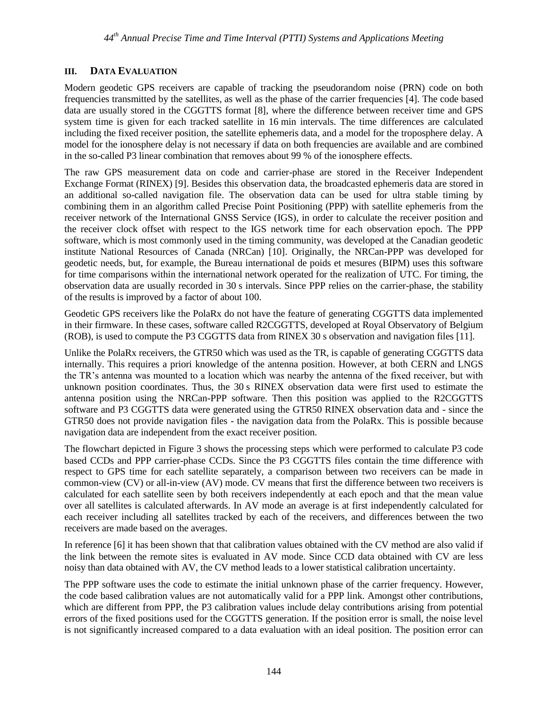# **III. DATA EVALUATION**

Modern geodetic GPS receivers are capable of tracking the pseudorandom noise (PRN) code on both frequencies transmitted by the satellites, as well as the phase of the carrier frequencies [\[4\].](#page-9-0) The code based data are usually stored in the CGGTTS format [\[8\],](#page-9-4) where the difference between receiver time and GPS system time is given for each tracked satellite in 16 min intervals. The time differences are calculated including the fixed receiver position, the satellite ephemeris data, and a model for the troposphere delay. A model for the ionosphere delay is not necessary if data on both frequencies are available and are combined in the so-called P3 linear combination that removes about 99 % of the ionosphere effects.

The raw GPS measurement data on code and carrier-phase are stored in the Receiver Independent Exchange Format (RINEX) [\[9\].](#page-9-5) Besides this observation data, the broadcasted ephemeris data are stored in an additional so-called navigation file. The observation data can be used for ultra stable timing by combining them in an algorithm called Precise Point Positioning (PPP) with satellite ephemeris from the receiver network of the International GNSS Service (IGS), in order to calculate the receiver position and the receiver clock offset with respect to the IGS network time for each observation epoch. The PPP software, which is most commonly used in the timing community, was developed at the Canadian geodetic institute National Resources of Canada (NRCan) [\[10\].](#page-9-6) Originally, the NRCan-PPP was developed for geodetic needs, but, for example, the Bureau international de poids et mesures (BIPM) uses this software for time comparisons within the international network operated for the realization of UTC. For timing, the observation data are usually recorded in 30 s intervals. Since PPP relies on the carrier-phase, the stability of the results is improved by a factor of about 100.

Geodetic GPS receivers like the PolaRx do not have the feature of generating CGGTTS data implemented in their firmware. In these cases, software called R2CGGTTS, developed at Royal Observatory of Belgium (ROB), is used to compute the P3 CGGTTS data from RINEX 30 s observation and navigation file[s \[11\].](#page-9-7)

Unlike the PolaRx receivers, the GTR50 which was used as the TR, is capable of generating CGGTTS data internally. This requires a priori knowledge of the antenna position. However, at both CERN and LNGS the TR's antenna was mounted to a location which was nearby the antenna of the fixed receiver, but with unknown position coordinates. Thus, the 30 s RINEX observation data were first used to estimate the antenna position using the NRCan-PPP software. Then this position was applied to the R2CGGTTS software and P3 CGGTTS data were generated using the GTR50 RINEX observation data and - since the GTR50 does not provide navigation files - the navigation data from the PolaRx. This is possible because navigation data are independent from the exact receiver position.

The flowchart depicted in Figure 3 shows the processing steps which were performed to calculate P3 code based CCDs and PPP carrier-phase CCDs. Since the P3 CGGTTS files contain the time difference with respect to GPS time for each satellite separately, a comparison between two receivers can be made in common-view (CV) or all-in-view (AV) mode. CV means that first the difference between two receivers is calculated for each satellite seen by both receivers independently at each epoch and that the mean value over all satellites is calculated afterwards. In AV mode an average is at first independently calculated for each receiver including all satellites tracked by each of the receivers, and differences between the two receivers are made based on the averages.

In reference [\[6\]](#page-9-2) it has been shown that that calibration values obtained with the CV method are also valid if the link between the remote sites is evaluated in AV mode. Since CCD data obtained with CV are less noisy than data obtained with AV, the CV method leads to a lower statistical calibration uncertainty.

The PPP software uses the code to estimate the initial unknown phase of the carrier frequency. However, the code based calibration values are not automatically valid for a PPP link. Amongst other contributions, which are different from PPP, the P3 calibration values include delay contributions arising from potential errors of the fixed positions used for the CGGTTS generation. If the position error is small, the noise level is not significantly increased compared to a data evaluation with an ideal position. The position error can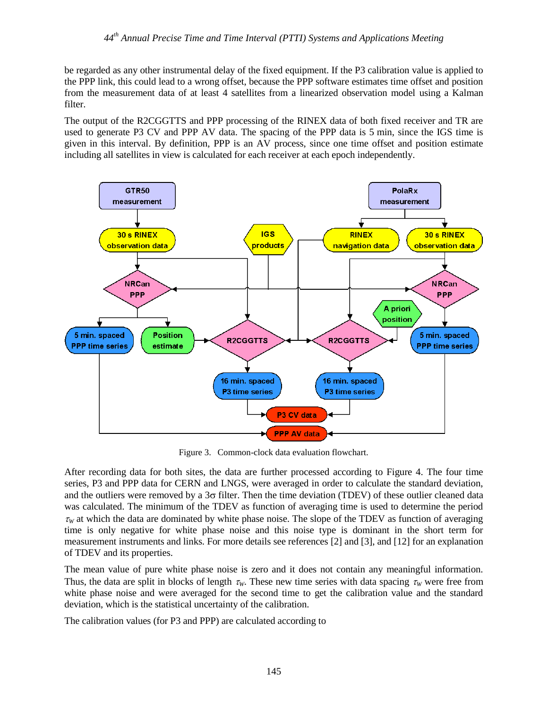be regarded as any other instrumental delay of the fixed equipment. If the P3 calibration value is applied to the PPP link, this could lead to a wrong offset, because the PPP software estimates time offset and position from the measurement data of at least 4 satellites from a linearized observation model using a Kalman filter.

The output of the R2CGGTTS and PPP processing of the RINEX data of both fixed receiver and TR are used to generate P3 CV and PPP AV data. The spacing of the PPP data is 5 min, since the IGS time is given in this interval. By definition, PPP is an AV process, since one time offset and position estimate including all satellites in view is calculated for each receiver at each epoch independently.



Figure 3. Common-clock data evaluation flowchart.

After recording data for both sites, the data are further processed according to Figure 4. The four time series, P3 and PPP data for CERN and LNGS, were averaged in order to calculate the standard deviation, and the outliers were removed by a  $3\sigma$  filter. Then the time deviation (TDEV) of these outlier cleaned data was calculated. The minimum of the TDEV as function of averaging time is used to determine the period  $\tau_W$  at which the data are dominated by white phase noise. The slope of the TDEV as function of averaging time is only negative for white phase noise and this noise type is dominant in the short term for measurement instruments and links. For more details see references [\[2\]](#page-8-1) and [\[3\],](#page-8-2) and [\[12\]](#page-9-8) for an explanation of TDEV and its properties.

The mean value of pure white phase noise is zero and it does not contain any meaningful information. Thus, the data are split in blocks of length  $\tau_w$ . These new time series with data spacing  $\tau_w$  were free from white phase noise and were averaged for the second time to get the calibration value and the standard deviation, which is the statistical uncertainty of the calibration.

The calibration values (for P3 and PPP) are calculated according to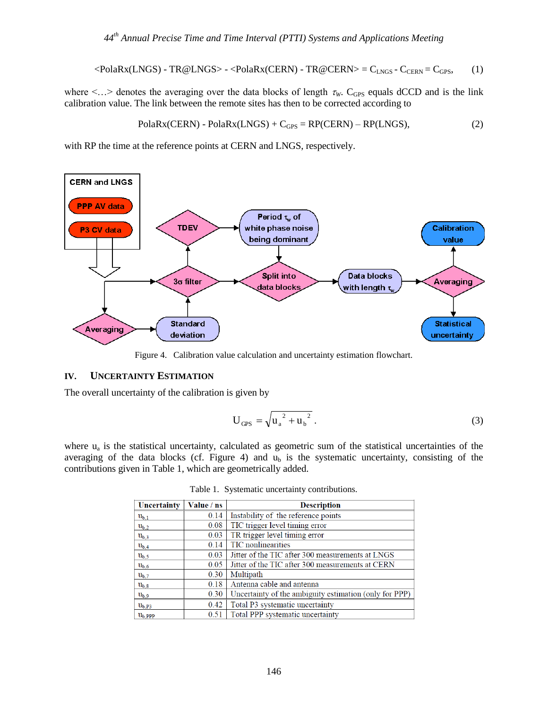$$
\langle \text{PolaRx(LNGS)} - \text{TR@LNGS} \rangle - \langle \text{PolaRx(CERN)} - \text{TR@CERN} \rangle = C_{LNGS} - C_{CERN} = C_{GPS}, \tag{1}
$$

where  $\lt$ ... > denotes the averaging over the data blocks of length  $\tau_W$ . C<sub>GPS</sub> equals dCCD and is the link calibration value. The link between the remote sites has then to be corrected according to

$$
PolaRx(CERN) - PolaRx(LNGS) + CGPS = RP(CERN) - RP(LNGS),
$$
\n(2)

with RP the time at the reference points at CERN and LNGS, respectively.



Figure 4. Calibration value calculation and uncertainty estimation flowchart.

#### **IV. UNCERTAINTY ESTIMATION**

The overall uncertainty of the calibration is given by

$$
U_{GPS} = \sqrt{u_a^2 + u_b^2} \,. \tag{3}
$$

where  $u_a$  is the statistical uncertainty, calculated as geometric sum of the statistical uncertainties of the averaging of the data blocks (cf. Figure 4) and  $u<sub>b</sub>$  is the systematic uncertainty, consisting of the contributions given in Table 1, which are geometrically added.

|  | Table 1. Systematic uncertainty contributions. |
|--|------------------------------------------------|
|  |                                                |

| Uncertainty         | Value / ns | <b>Description</b>                                     |  |
|---------------------|------------|--------------------------------------------------------|--|
| $u_{b,1}$           | 0.14       | Instability of the reference points                    |  |
| $u_{b,2}$           | 0.08       | TIC trigger level timing error                         |  |
| $u_{b,3}$           | 0.03       | TR trigger level timing error                          |  |
| $u_{b.4}$           | 0.14       | <b>TIC</b> nonlinearities                              |  |
| $u_{b.5}$           | 0.03       | Jitter of the TIC after 300 measurements at LNGS       |  |
| $u_{b.6}$           | 0.05       | Jitter of the TIC after 300 measurements at CERN       |  |
| $u_{b,7}$           | 0.30       | Multipath                                              |  |
| $u_{b,8}$           | 0.18       | Antenna cable and antenna                              |  |
| $u_{b,9}$           | 0.30       | Uncertainty of the ambiguity estimation (only for PPP) |  |
| $u_{b,P3}$          | 0.42       | Total P3 systematic uncertainty                        |  |
| $ub$ <sub>ppp</sub> | 0.51       | Total PPP systematic uncertainty                       |  |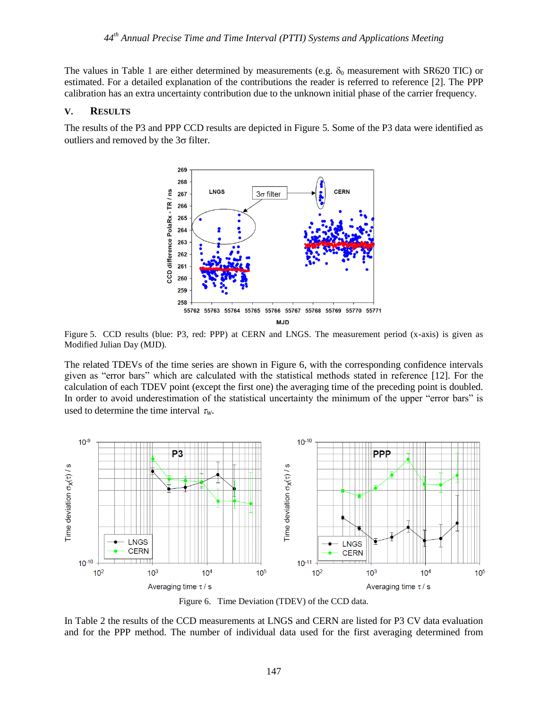The values in Table 1 are either determined by measurements (e.g.  $\delta_0$  measurement with SR620 TIC) or estimated. For a detailed explanation of the contributions the reader is referred to reference [\[2\].](#page-8-1) The PPP calibration has an extra uncertainty contribution due to the unknown initial phase of the carrier frequency.

#### **V. RESULTS**

The results of the P3 and PPP CCD results are depicted in Figure 5. Some of the P3 data were identified as outliers and removed by the  $3\sigma$  filter.



Figure 5. CCD results (blue: P3, red: PPP) at CERN and LNGS. The measurement period (x-axis) is given as Modified Julian Day (MJD).

The related TDEVs of the time series are shown in Figure 6, with the corresponding confidence intervals given as "error bars" which are calculated with the statistical methods stated in reference [\[12\].](#page-9-8) For the calculation of each TDEV point (except the first one) the averaging time of the preceding point is doubled. In order to avoid underestimation of the statistical uncertainty the minimum of the upper "error bars" is used to determine the time interval  $\tau_w$ .



Figure 6. Time Deviation (TDEV) of the CCD data.

In Table 2 the results of the CCD measurements at LNGS and CERN are listed for P3 CV data evaluation and for the PPP method. The number of individual data used for the first averaging determined from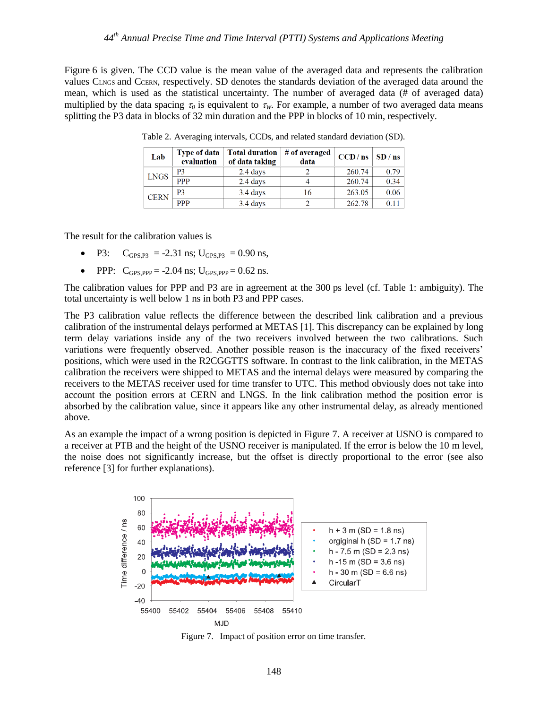Figure 6 is given. The CCD value is the mean value of the averaged data and represents the calibration values CLNGS and CCERN, respectively. SD denotes the standards deviation of the averaged data around the mean, which is used as the statistical uncertainty. The number of averaged data (# of averaged data) multiplied by the data spacing  $\tau_0$  is equivalent to  $\tau_w$ . For example, a number of two averaged data means splitting the P3 data in blocks of 32 min duration and the PPP in blocks of 10 min, respectively.

| Lab         | <b>Type of data</b><br>evaluation | Total duration $\mid$ # of averaged<br>of data taking | data | $CCD/ns$ SD / ns |      |
|-------------|-----------------------------------|-------------------------------------------------------|------|------------------|------|
| <b>LNGS</b> | P3                                | 2.4 days                                              |      | 260.74           | 0.79 |
|             | <b>PPP</b>                        | 2.4 days                                              |      | 260.74           | 0.34 |
| <b>CERN</b> | P3                                | $3.4$ days                                            | 16   | 263.05           | 0.06 |
|             | <b>PPP</b>                        | 3.4 days                                              |      | 262.78           | 0.11 |

Table 2. Averaging intervals, CCDs, and related standard deviation (SD).

The result for the calibration values is

- P3:  $C_{GPS P3} = -2.31$  ns;  $U_{GPS P3} = 0.90$  ns,
- PPP:  $C_{\text{GPS PPP}} = -2.04$  ns;  $U_{\text{GPS PPP}} = 0.62$  ns.

The calibration values for PPP and P3 are in agreement at the 300 ps level (cf. Table 1: ambiguity). The total uncertainty is well below 1 ns in both P3 and PPP cases.

The P3 calibration value reflects the difference between the described link calibration and a previous calibration of the instrumental delays performed at META[S \[1\].](#page-8-0) This discrepancy can be explained by long term delay variations inside any of the two receivers involved between the two calibrations. Such variations were frequently observed. Another possible reason is the inaccuracy of the fixed receivers' positions, which were used in the R2CGGTTS software. In contrast to the link calibration, in the METAS calibration the receivers were shipped to METAS and the internal delays were measured by comparing the receivers to the METAS receiver used for time transfer to UTC. This method obviously does not take into account the position errors at CERN and LNGS. In the link calibration method the position error is absorbed by the calibration value, since it appears like any other instrumental delay, as already mentioned above.

As an example the impact of a wrong position is depicted in Figure 7. A receiver at USNO is compared to a receiver at PTB and the height of the USNO receiver is manipulated. If the error is below the 10 m level, the noise does not significantly increase, but the offset is directly proportional to the error (see also reference [\[3\]](#page-8-2) for further explanations).



Figure 7. Impact of position error on time transfer.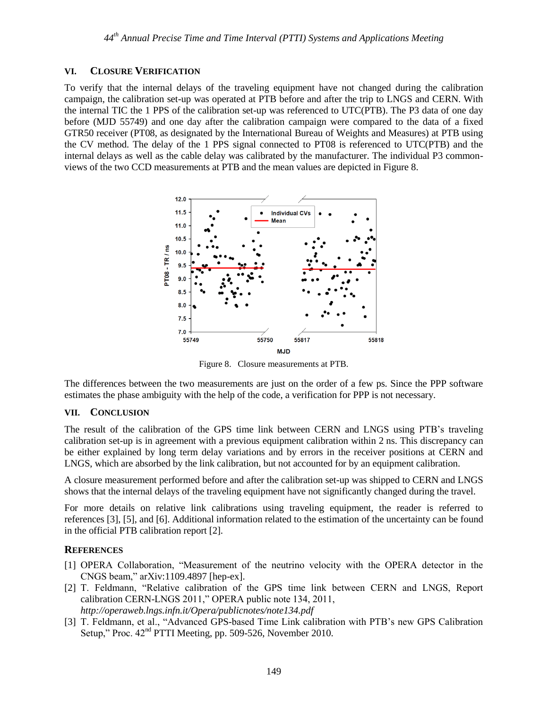# **VI. CLOSURE VERIFICATION**

To verify that the internal delays of the traveling equipment have not changed during the calibration campaign, the calibration set-up was operated at PTB before and after the trip to LNGS and CERN. With the internal TIC the 1 PPS of the calibration set-up was referenced to UTC(PTB). The P3 data of one day before (MJD 55749) and one day after the calibration campaign were compared to the data of a fixed GTR50 receiver (PT08, as designated by the International Bureau of Weights and Measures) at PTB using the CV method. The delay of the 1 PPS signal connected to PT08 is referenced to UTC(PTB) and the internal delays as well as the cable delay was calibrated by the manufacturer. The individual P3 commonviews of the two CCD measurements at PTB and the mean values are depicted in Figure 8.



Figure 8. Closure measurements at PTB.

The differences between the two measurements are just on the order of a few ps. Since the PPP software estimates the phase ambiguity with the help of the code, a verification for PPP is not necessary.

# **VII. CONCLUSION**

The result of the calibration of the GPS time link between CERN and LNGS using PTB's traveling calibration set-up is in agreement with a previous equipment calibration within 2 ns. This discrepancy can be either explained by long term delay variations and by errors in the receiver positions at CERN and LNGS, which are absorbed by the link calibration, but not accounted for by an equipment calibration.

A closure measurement performed before and after the calibration set-up was shipped to CERN and LNGS shows that the internal delays of the traveling equipment have not significantly changed during the travel.

For more details on relative link calibrations using traveling equipment, the reader is referred to references [\[3\],](#page-8-2) [\[5\],](#page-9-1) and [\[6\].](#page-9-2) Additional information related to the estimation of the uncertainty can be found in the official PTB calibration report [\[2\].](#page-8-1)

# **REFERENCES**

- <span id="page-8-0"></span>[1] OPERA Collaboration, "Measurement of the neutrino velocity with the OPERA detector in the CNGS beam," arXiv:1109.4897 [hep-ex].
- <span id="page-8-1"></span>[2] T. Feldmann, "Relative calibration of the GPS time link between CERN and LNGS, Report calibration CERN-LNGS 2011," OPERA public note 134, 2011, *http://operaweb.lngs.infn.it/Opera/publicnotes/note134.pdf*
- <span id="page-8-2"></span>[3] T. Feldmann, et al., "Advanced GPS-based Time Link calibration with PTB's new GPS Calibration Setup," Proc. 42<sup>nd</sup> PTTI Meeting, pp. 509-526, November 2010.